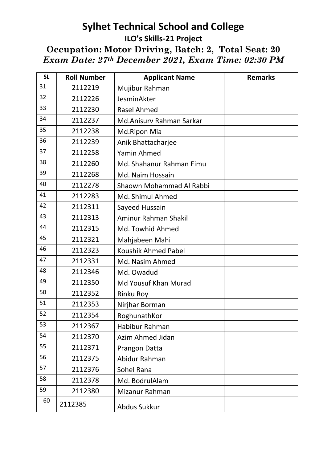## **Sylhet Technical School and College ILO's Skills-21 Project Occupation: Motor Driving, Batch: 2, Total Seat: 20**  *Exam Date: 27th December 2021, Exam Time: 02:30 PM*

| <b>SL</b> | <b>Roll Number</b> | <b>Applicant Name</b>    | <b>Remarks</b> |
|-----------|--------------------|--------------------------|----------------|
| 31        | 2112219            | Mujibur Rahman           |                |
| 32        | 2112226            | JesminAkter              |                |
| 33        | 2112230            | <b>Rasel Ahmed</b>       |                |
| 34        | 2112237            | Md.Anisury Rahman Sarkar |                |
| 35        | 2112238            | Md.Ripon Mia             |                |
| 36        | 2112239            | Anik Bhattacharjee       |                |
| 37        | 2112258            | Yamin Ahmed              |                |
| 38        | 2112260            | Md. Shahanur Rahman Eimu |                |
| 39        | 2112268            | Md. Naim Hossain         |                |
| 40        | 2112278            | Shaown Mohammad Al Rabbi |                |
| 41        | 2112283            | Md. Shimul Ahmed         |                |
| 42        | 2112311            | Sayeed Hussain           |                |
| 43        | 2112313            | Aminur Rahman Shakil     |                |
| 44        | 2112315            | Md. Towhid Ahmed         |                |
| 45        | 2112321            | Mahjabeen Mahi           |                |
| 46        | 2112323            | Koushik Ahmed Pabel      |                |
| 47        | 2112331            | Md. Nasim Ahmed          |                |
| 48        | 2112346            | Md. Owadud               |                |
| 49        | 2112350            | Md Yousuf Khan Murad     |                |
| 50        | 2112352            | <b>Rinku Roy</b>         |                |
| 51        | 2112353            | Nirjhar Borman           |                |
| 52        | 2112354            | RoghunathKor             |                |
| 53        | 2112367            | Habibur Rahman           |                |
| 54        | 2112370            | <b>Azim Ahmed Jidan</b>  |                |
| 55        | 2112371            | Prangon Datta            |                |
| 56        | 2112375            | Abidur Rahman            |                |
| 57        | 2112376            | Sohel Rana               |                |
| 58        | 2112378            | Md. BodrulAlam           |                |
| 59        | 2112380            | Mizanur Rahman           |                |
| 60        | 2112385            | Abdus Sukkur             |                |